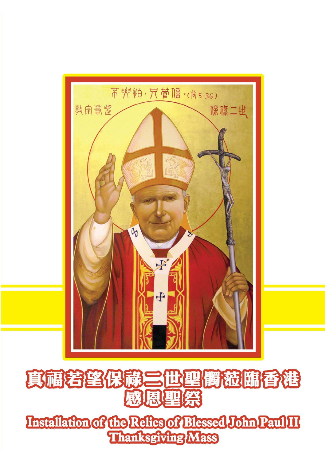

# 其福若望俄嚴三世聖商稅臨香港 感恩聖祭

Installation of the Refles of Blessed John Paul II Thanksgiving Mass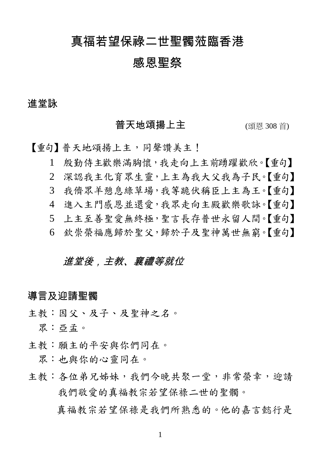# 真福若望保祿二世聖髑蒞臨香港

# 感恩聖祭

#### 進堂詠

#### 音天地頌揚上主 (頌恩 308 首)

【重句】普天地頌揚上主,同聲讚美主!

1 殷勤侍主歡樂滿胸懷,我走向上主前踴躍歡欣。【重句】

- 2 深認我主化育眾生靈,上主為我大父我為子民。【重句】
- 3 我儕眾羊憩息綠草場,我等跪伏稱臣上主為王。【重句】
- 4 進入主門感恩並還愛,我眾走向主殿歡樂歌詠。【重句】
- 5 上主至善聖愛無終極,聖言長存普世永留人間。【重句】
- 6 欽崇榮福應歸於聖父,歸於子及聖神萬世無窮。【重句】

#### 進堂後,主教、襄禮等就位

#### **導言及**迎請聖髑

主教:因父、及子、及聖神之名。

眾:亞孟。

主教:願主的平安與你們同在。

眾:也與你的心靈同在。

主教:各位弟兄姊妹,我們今晚共聚一堂,非常榮幸,迎請 我們敬愛的真福教宗若望保祿二世的聖髑。

真福教宗若望保祿是我們所熟悉的。他的嘉言懿行是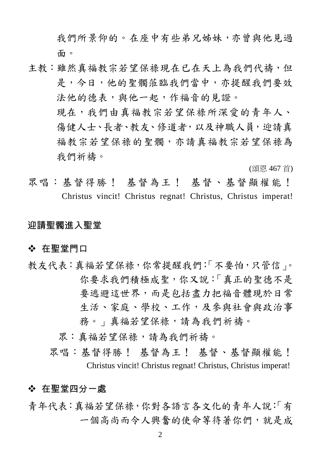我們所景仰的。在座中有些弟兄姊妹,亦曾與他見過 面。

主教:雖然真福教宗若望保祿現在已在天上為我們代禱,但 是,今日,他的聖髑蒞臨我們當中,亦提醒我們要效 法他的德表,與他一起,作福音的見證。 現在,我們由真福教宗若望保祿所深愛的青年人、 傷健人士、長者、教友、修道者,以及神職人員,迎請真 福教宗若望保祿的聖髑,亦請真福教宗若望保祿為 我們祈禱。

(頌恩 467 首)

眾唱:基督得勝! 基督為王! 基督、基督顯權能! Christus vincit! Christus regnat! Christus, Christus imperat!

#### 迎請聖髑進入聖堂

#### ❖ 在聖堂門口

- 教友代表:真福若望保祿,你常提醒我們:「不要怕,只管信」。 你要求我們積極成聖,你又說:「真正的聖德不是 要逃避這世界,而是包括盡力把福音體現於日常 生活、家庭、學校、工作,及參與社會與政治事 務。」真福若望保祿,請為我們祈禱。
	- 眾:真福若望保祿,請為我們祈禱。
	- 眾唱:基督得勝! 基督為王! 基督、基督顯權能! Christus vincit! Christus regnat! Christus, Christus imperat!

#### 在聖堂四分一處

青年代表:真福若望保祿,你對各語言各文化的青年人說:「有 一個高尚而令人興奮的使命等待著你們,就是成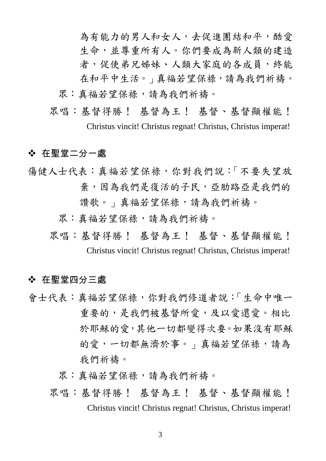為有能力的男人和女人,去促進團結和平,酷愛 生命,並尊重所有人。你們要成為新人類的建造 者,促使弟兄姊妹、人類大家庭的各成員,終能 在和平中生活。」真福若望保祿,請為我們祈禱。 眾:真福若望保祿,請為我們祈禱。

眾唱:基督得勝! 基督為王! 基督、基督顯權能! Christus vincit! Christus regnat! Christus, Christus imperat!

#### 在聖堂二分一處

- 傷健人士代表:真福若望保祿,你對我們說:「不要失望放 棄,因為我們是復活的子民,亞肋路亞是我們的 讚歌。」真福若望保祿,請為我們祈禱。
	- 眾:真福若望保祿,請為我們祈禱。
	- 眾唱:基督得勝! 基督為王! 基督、基督顯權能! Christus vincit! Christus regnat! Christus, Christus imperat!

#### 在聖堂四分三處

- 會士代表:真福若望保祿,你對我們修道者說:「生命中唯一 重要的,是我們被基督所愛,及以愛還愛。相比 於耶穌的愛,其他一切都變得次要。如果沒有耶穌 的愛,一切都無濟於事。」真福若望保祿,請為 我們祈禱。
	- 眾:真福若望保祿,請為我們祈禱。
	- 眾唱:基督得勝! 基督為王! 基督、基督顯權能! Christus vincit! Christus regnat! Christus, Christus imperat!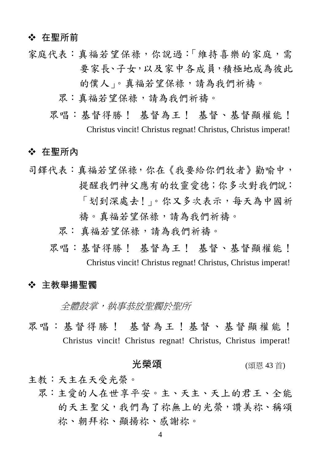#### ❖ 在聖所前

- 家庭代表:真福若望保祿,你說過:「維持喜樂的家庭,需 要家長、子女,以及家中各成員,積極地成為彼此 的僕人」。真福若望保祿,請為我們祈禱。
	- 眾:真福若望保祿,請為我們祈禱。
	- 眾唱:基督得勝! 基督為王! 基督、基督顯權能! Christus vincit! Christus regnat! Christus, Christus imperat!

#### ◆ 在聖所內

司鐸代表:真福若望保祿,你在《我要給你們牧者》勸喻中, 提醒我們神父應有的牧靈愛德;你多次對我們說: 「划到深處去!」。你又多次表示,每天為中國祈 禱。真福若望保祿,請為我們祈禱。 眾: 真福若望保祿,請為我們祈禱。 眾唱:基督得勝! 基督為王! 基督、基督顯權能!

Christus vincit! Christus regnat! Christus, Christus imperat!

#### ◆ 主教舉揚聖髑

全體鼓掌,執事恭放聖髑於聖所

眾唱:基督得勝! 基督為王!基督、基督顯權能! Christus vincit! Christus regnat! Christus, Christus imperat!

#### 光榮頌 (頌恩 43首)

主教:天主在天受光榮。

 眾:主愛的人在世享平安。主、天主、天上的君王、全能 的天主聖父,我們為了祢無上的光榮,讚美祢、稱頌 祢、朝拜祢、顯揚祢、感謝祢。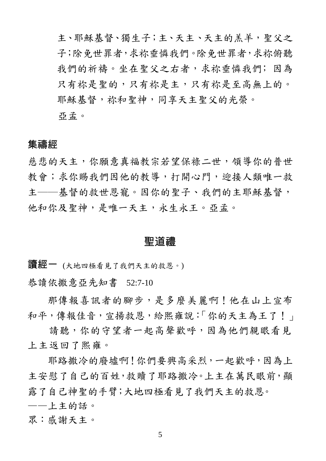主、耶穌基督、獨生子;主、天主、天主的羔羊, 聖父之 子;除免世罪者,求你我病病, 我們的祈禱。坐在聖父之右者,求祢垂憐我們;因為 只有祢是里的,只有祢是王高無上的。 耶穌基督,祢和聖神,同享天主聖父的光榮。 亞孟。

#### 集禱經

慈悲的天主,你願意真福教宗若望保祿二世,領導你的普世 教會;求你賜我們因他的教導,打開心門,迎接人類唯一救 主——基督的救世恩寵。因你的聖子、我們的主耶穌基督, 他和你及聖神,是唯一天主,永生永王。亞孟。

#### 聖道禮

讀經一 (大地四極看見了我們天主的救恩。)

恭讀依撒意亞先知書 52:7-10

那傳報喜訊者的腳步,是多麼美麗啊!他在山上宣布 和平,傳報佳音,宣揚救恩,給熙雍說:「你的天主為王了!」

請聽,你的守望者一起高聲歡呼,因為他們親眼看見 上主返回了熙雍。

耶路撒冷的廢墟啊!你們要興高采烈,一起歡呼,因為上 主安慰了自己的百姓,救贖了耶路撒冷。上主在萬民眼前,顯 露了自己神聖的手臂;大地四極看見了我們天主的救恩。

——上主的話。

眾:感謝天主。

5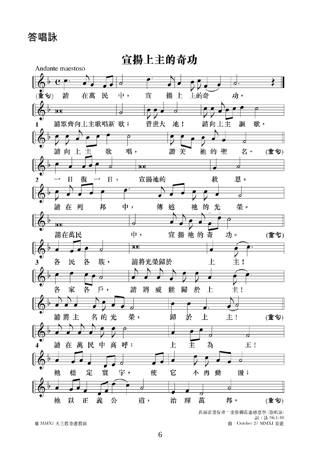答唱詠



© MMXI 天主教香港教區

詞: 詠 96:1-10 曲: October 27 MMXI 香港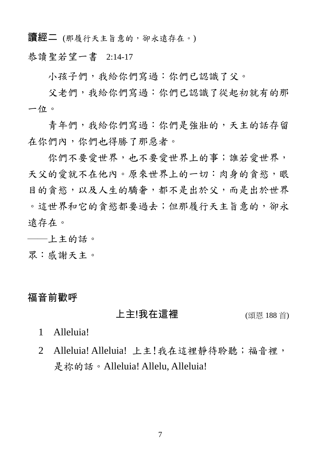讀經二 (那履行天主旨意的,卻永遠存在。)

恭讀聖若望一書 2:14-17

小孩子們,我給你們寫過:你們已認識了父。

父老們,我給你們寫過:你們已認識了從起初就有的那 一位。

青年們,我給你們寫過:你們是強壯的,天主的話存留 在你們內,你們也得勝了那惡者。

你們不要愛世界,也不要愛世界上的事;誰若愛世界, 天父的愛就不在他內。原來世界上的一切:肉身的貪慾,眼 目的貪慾,以及人生的驕奢,都不是出於父,而是出於世界 。這世界和它的貪慾都要過去;但那履行天主旨意的,卻永 遠存在。

──上主的話。

眾:感謝天主。

#### 福音前歡呼

#### 上主!我在這裡 (頌恩 188 首)

1 Alleluia!

2 Alleluia! Alleluia! 上主!我在這裡靜待聆聽;福音裡, 是祢的話。Alleluia! Allelu, Alleluia!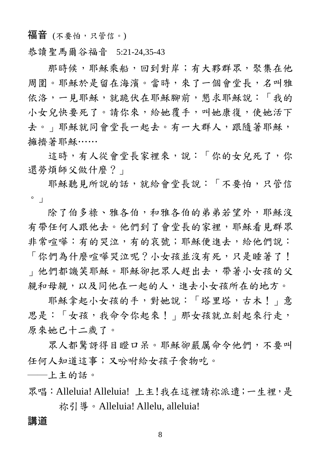福音 (不要怕,只管信。)

恭讀聖馬爾谷福音 5:21-24,35-43

那時候,耶穌乘船,回到對岸;有大夥群眾,聚集在他 周圍。耶穌於是留在海濱。當時,來了一個會堂長,名叫雅 依洛,一見耶穌,就跪伏在耶穌腳前,懇求耶穌說:「我的 小女兒快要死了。請你來,給她覆手,叫她康復,使她活下 去。」耶穌就同會堂長一起去。有一大群人,跟隨著耶穌, 擁擠著耶穌……

這時,有人從會堂長家裡來,說:「你的女兒死了,你 還勞煩師父做什麼?」

耶穌聽見所說的話,就給會堂長說:「不要怕,只管信 。」

除了伯多祿、雅各伯,和雅各伯的弟弟若望外,耶穌沒 有帶任何人跟他去。他們到了會堂長的家裡,耶穌看見群眾 非常喧嘩:有的哭泣,有的哀號;耶穌便進去,給他們說:

「你們為什麼喧嘩哭泣呢?小女孩並沒有死,只是睡著了! 」他們都譏笑耶穌。耶穌卻把眾人趕出去,帶著小女孩的父 親和母親,以及同他在一起的人,進去小女孩所在的地方。

耶穌拿起小女孩的手,對她說:「塔里塔,古木!」意 思是:「女孩,我命令你起來!」那女孩就立刻起來行走, 原來她已十二歲了。

眾人都驚訝得目瞪口呆。耶穌卻嚴厲命令他們,不要叫 任何人知道這事;又吩咐給女孩子食物吃。

──上主的話。

眾唱:Alleluia! Alleluia! 上主!我在這裡請祢派遣;一生裡,是 称引導。Alleluia! Allelu, alleluia!

#### 講道

8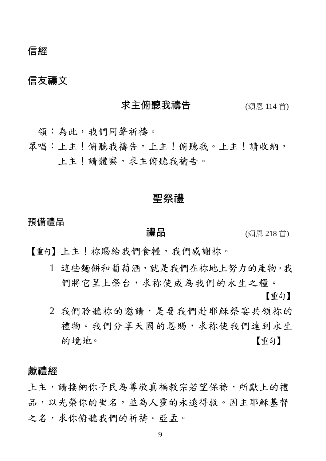信經

# 信友禱文

| 求主俯聽我禱告 | (頌恩 114 首) |
|---------|------------|
|         |            |

領:為此,我們同聲祈禱。

眾唱:上主!俯聽我禱告。上主!俯聽我。上主!請收納, 上主!請體察,求主俯聽我禱告。

#### 聖祭禮

預備禮品

**禮品** (頌恩 218 首)

【重句】上主!祢賜給我們食糧,我們感謝祢。

1 這些麵餅和葡萄酒,就是我們在祢地上努力的產物。我 們將它呈上祭台,求祢使成為我們的永生之糧。

【重句】

2 我們聆聽祢的邀請,是要我們赴耶穌祭宴共領祢的 禮物。我們分享天國的恩賜,求祢使我們達到永生 的境地。 【重句】

#### 獻禮經

上主,請接納你子民為尊敬真福教宗若望保祿,所獻上的禮 品,以光榮你的聖名,並為人靈的永遠得救。因主耶穌基督 之名,求你俯聽我們的祈禱。亞孟。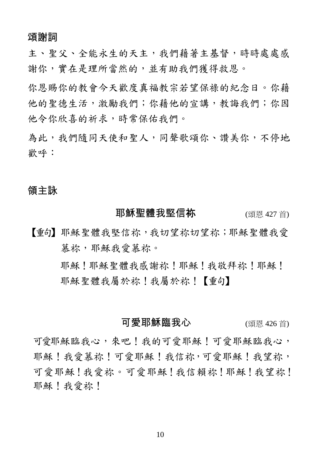#### 頌謝詞

主、聖父、全能永生的天主,我們藉著主基督,時時處處感 謝你,實在是理所當然的,並有助我們獲得救恩。

你恩賜你的教會今天歡度真福教宗若望保祿的紀念日。你藉 他的聖德生活,激勵我們;你藉他的宣講,教誨我們;你因 他令你欣喜的祈求,時常保佑我們。

為此,我們隨同天使和聖人,同聲歌頌你、讚美你,不停地 歡呼:

#### 領主詠

#### **耶穌聖體我堅信祢**  $\frac{1}{27}$  **(頌恩 427 首)**

【重句】耶穌聖體我堅信祢,我切望祢切望祢;耶穌聖體我愛 慕祢,耶穌我愛慕祢。

> 耶穌!耶穌聖體我感謝祢!耶穌!我敬拜祢!耶穌! 耶穌聖體我屬於祢!我屬於祢!【重句】

#### 可愛耶穌臨我心 (頌恩 426首)

可愛耶穌臨我心,來吧!我的可愛耶穌!可愛耶穌臨我心, 耶穌!我愛慕祢!可愛耶穌!我望祢, 可愛耶穌!我當賴祢!耶穌!我望祢! 耶穌!我愛祢!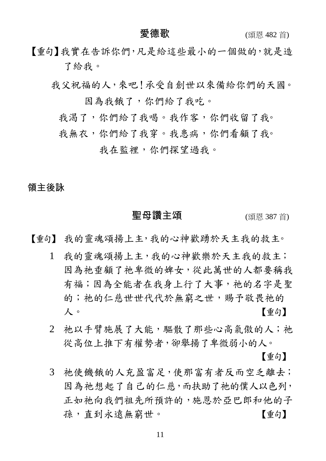【重句】我實在告訴你們,凡是給這些最小的一個做的,就是造 了給我。

我父祝福的人,來吧!承受自創世以來備給你們的天國。 因為我餓了,你們給了我吃。

我渴了,你們給了我喝。我作客,你們收留了我。

我無衣,你們給了我穿。我患病,你們看顧了我。

我在監裡,你們探望過我。

#### 領主後詠

#### 聖母讚主頌 (頌恩 387首)

【重句】 我的靈魂頌揚上主,我的心神歡踴於天主我的救主。

- 1 我的靈魂頌揚上主,我的心神歡樂於天主我的救主; 因為祂垂顧了祂卑微的婢女,從此萬世的人都要稱我 有福;因為全能者在我身上行了大事, 祂的名字是聖 的; 祂的仁慈世世代代於無窮之世, 賜予敬畏祂的 人。 【重句】
- 2 祂以手臂施展了大能,驅散了那些心高氣傲的人;祂 從高位上推下有權勢者,卻舉揚了卑微弱小的人。

【重句】

3 祂使饑餓的人充盈富足,使那富有者反而空乏離去; 因為祂想起了自己的仁慈,而扶助了祂的僕人以色列, 正如祂向我們祖先所預許的,施恩於亞巴郎和他的子 孫,直到永遠無窮世。 [重句]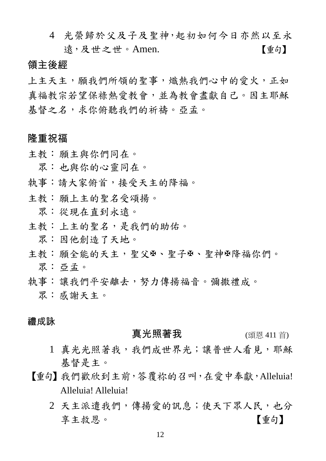4 光榮歸於父及子及聖神,起初如何今日亦然以至永 遠,及世之世。Amen. [重句]

#### 領主後經

上主天主,願我們所領的聖事,熾熱我們心中的愛火,正如 真福教宗若望保祿熱愛教會,並為教會盡獻自己。因主耶穌 基督之名,求你俯聽我們的祈禱。亞孟。

#### 隆重祝福

主教: 願主與你們同在。

眾: 也與你的心靈同在。

- 執事:請大家俯首,接受天主的降福。
- 主教: 願上主的聖名受頌揚。
	- 眾: 從現在直到永遠。
- 主教:上主的聖名,是我們的助佑。
	- 眾: 因他創造了天地。
- 主教:願全能的天主,聖父田、聖子田、聖神田降福你們。 眾: 亞孟。
- 執事:讓我們平安離去,努力傳揚福音。彌撒禮成。
	- 眾: 感謝天主。

#### 禮成詠

#### **真光照著我** (頌恩 411 首)

- 1 真光光照著我,我們成世界光;讓普世人看見,那穌 基督是主。
- 【重句】我們歡欣到主前,答覆祢的召叫,在愛中奉獻,Alleluia! Alleluia! Alleluia!
	- 2 天主派遣我們,傳揚愛的訊息;使天下眾人民,也分 享主救恩。 【重句】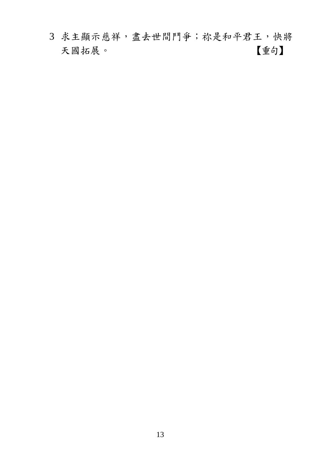求主顯示慈祥,盡去世間鬥爭;祢是和平君王,快將 天國拓展。 【重句】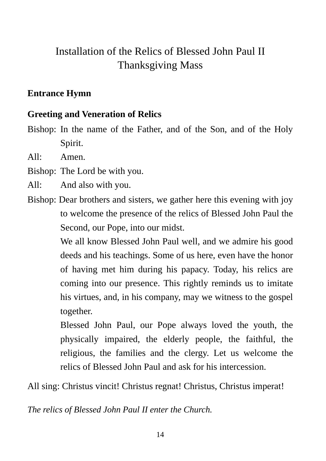# Installation of the Relics of Blessed John Paul II Thanksgiving Mass

# **Entrance Hymn**

#### **Greeting and Veneration of Relics**

Bishop: In the name of the Father, and of the Son, and of the Holy Spirit.

All: Amen.

Bishop: The Lord be with you.

All: And also with you.

Bishop: Dear brothers and sisters, we gather here this evening with joy to welcome the presence of the relics of Blessed John Paul the Second, our Pope, into our midst.

> We all know Blessed John Paul well, and we admire his good deeds and his teachings. Some of us here, even have the honor of having met him during his papacy. Today, his relics are coming into our presence. This rightly reminds us to imitate his virtues, and, in his company, may we witness to the gospel together.

> Blessed John Paul, our Pope always loved the youth, the physically impaired, the elderly people, the faithful, the religious, the families and the clergy. Let us welcome the relics of Blessed John Paul and ask for his intercession.

All sing: Christus vincit! Christus regnat! Christus, Christus imperat!

*The relics of Blessed John Paul II enter the Church.*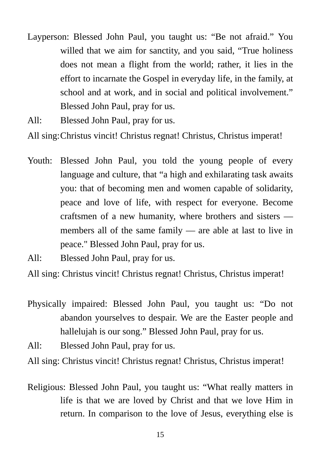- Layperson: Blessed John Paul, you taught us: "Be not afraid." You willed that we aim for sanctity, and you said, "True holiness" does not mean a flight from the world; rather, it lies in the effort to incarnate the Gospel in everyday life, in the family, at school and at work, and in social and political involvement." Blessed John Paul, pray for us.
- All: Blessed John Paul, pray for us.

All sing: Christus vincit! Christus regnat! Christus, Christus imperat!

- Youth: Blessed John Paul, you told the young people of every language and culture, that "a high and exhilarating task awaits you: that of becoming men and women capable of solidarity, peace and love of life, with respect for everyone. Become craftsmen of a new humanity, where brothers and sisters members all of the same family — are able at last to live in peace." Blessed John Paul, pray for us.
- All: Blessed John Paul, pray for us.

All sing: Christus vincit! Christus regnat! Christus, Christus imperat!

- Physically impaired: Blessed John Paul, you taught us: "Do not abandon yourselves to despair. We are the Easter people and hallelujah is our song." Blessed John Paul, pray for us.
- All: Blessed John Paul, pray for us.

All sing: Christus vincit! Christus regnat! Christus, Christus imperat!

Religious: Blessed John Paul, you taught us: "What really matters in life is that we are loved by Christ and that we love Him in return. In comparison to the love of Jesus, everything else is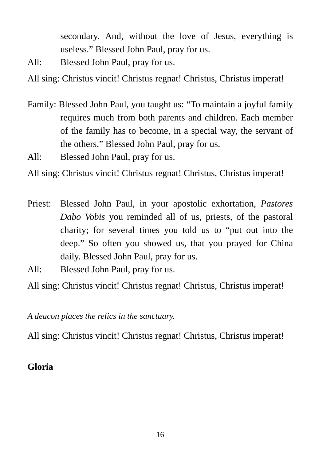secondary. And, without the love of Jesus, everything is useless." Blessed John Paul, pray for us.

All: Blessed John Paul, pray for us.

All sing: Christus vincit! Christus regnat! Christus, Christus imperat!

- Family: Blessed John Paul, you taught us: "To maintain a joyful family requires much from both parents and children. Each member of the family has to become, in a special way, the servant of the others." Blessed John Paul, pray for us.
- All: Blessed John Paul, pray for us.

All sing: Christus vincit! Christus regnat! Christus, Christus imperat!

- Priest: Blessed John Paul, in your apostolic exhortation, *Pastores Dabo Vobis* you reminded all of us, priests, of the pastoral charity; for several times you told us to "put out into the deep." So often you showed us, that you prayed for China daily. Blessed John Paul, pray for us.
- All: Blessed John Paul, pray for us.

All sing: Christus vincit! Christus regnat! Christus, Christus imperat!

*A deacon places the relics in the sanctuary.* 

All sing: Christus vincit! Christus regnat! Christus, Christus imperat!

### **Gloria**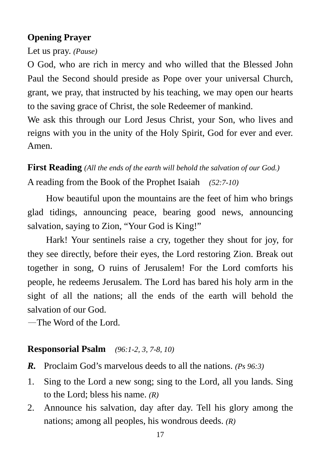## **Opening Prayer**

Let us pray. *(Pause)*

O God, who are rich in mercy and who willed that the Blessed John Paul the Second should preside as Pope over your universal Church, grant, we pray, that instructed by his teaching, we may open our hearts to the saving grace of Christ, the sole Redeemer of mankind.

We ask this through our Lord Jesus Christ, your Son, who lives and reigns with you in the unity of the Holy Spirit, God for ever and ever. Amen.

**First Reading** *(All the ends of the earth will behold the salvation of our God.)* A reading from the Book of the Prophet Isaiah *(52:7-10)*

How beautiful upon the mountains are the feet of him who brings glad tidings, announcing peace, bearing good news, announcing salvation, saying to Zion, "Your God is King!"

Hark! Your sentinels raise a cry, together they shout for joy, for they see directly, before their eyes, the Lord restoring Zion. Break out together in song, O ruins of Jerusalem! For the Lord comforts his people, he redeems Jerusalem. The Lord has bared his holy arm in the sight of all the nations; all the ends of the earth will behold the salvation of our God.

—The Word of the Lord.

#### **Responsorial Psalm** *(96:1-2, 3, 7-8, 10)*

- *R.* Proclaim God's marvelous deeds to all the nations. *(Ps 96:3)*
- 1. Sing to the Lord a new song; sing to the Lord, all you lands. Sing to the Lord; bless his name. *(R)*
- 2. Announce his salvation, day after day. Tell his glory among the nations; among all peoples, his wondrous deeds. *(R)*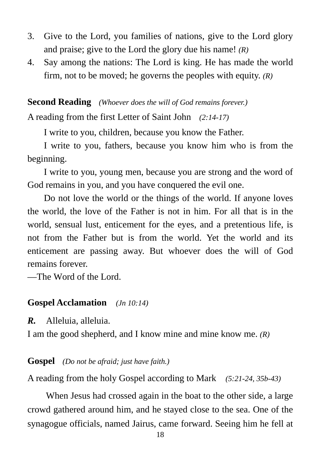- 3. Give to the Lord, you families of nations, give to the Lord glory and praise; give to the Lord the glory due his name! *(R)*
- 4. Say among the nations: The Lord is king. He has made the world firm, not to be moved; he governs the peoples with equity. *(R)*

**Second Reading** *(Whoever does the will of God remains forever.)*

A reading from the first Letter of Saint John *(2:14-17)*

I write to you, children, because you know the Father.

I write to you, fathers, because you know him who is from the beginning.

I write to you, young men, because you are strong and the word of God remains in you, and you have conquered the evil one.

Do not love the world or the things of the world. If anyone loves the world, the love of the Father is not in him. For all that is in the world, sensual lust, enticement for the eyes, and a pretentious life, is not from the Father but is from the world. Yet the world and its enticement are passing away. But whoever does the will of God remains forever.

—The Word of the Lord.

#### **Gospel Acclamation** *(Jn 10:14)*

*R.* Alleluia, alleluia.

I am the good shepherd, and I know mine and mine know me. *(R)* 

#### **Gospel** *(Do not be afraid; just have faith.)*

A reading from the holy Gospel according to Mark *(5:21-24, 35b-43)*

When Jesus had crossed again in the boat to the other side, a large crowd gathered around him, and he stayed close to the sea. One of the synagogue officials, named Jairus, came forward. Seeing him he fell at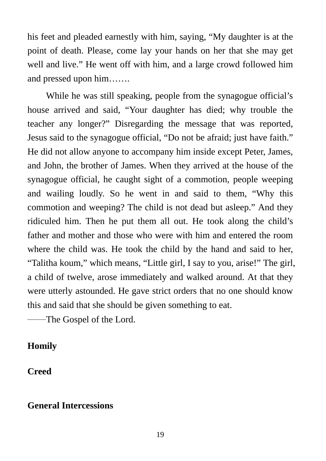his feet and pleaded earnestly with him, saying, "My daughter is at the point of death. Please, come lay your hands on her that she may get well and live." He went off with him, and a large crowd followed him and pressed upon him…….

While he was still speaking, people from the synagogue official's house arrived and said, "Your daughter has died; why trouble the teacher any longer?" Disregarding the message that was reported, Jesus said to the synagogue official, "Do not be afraid; just have faith." He did not allow anyone to accompany him inside except Peter, James, and John, the brother of James. When they arrived at the house of the synagogue official, he caught sight of a commotion, people weeping and wailing loudly. So he went in and said to them, "Why this commotion and weeping? The child is not dead but asleep." And they ridiculed him. Then he put them all out. He took along the child's father and mother and those who were with him and entered the room where the child was. He took the child by the hand and said to her, "Talitha koum," which means, "Little girl, I say to you, arise!" The girl, a child of twelve, arose immediately and walked around. At that they were utterly astounded. He gave strict orders that no one should know this and said that she should be given something to eat.

──The Gospel of the Lord.

#### **Homily**

**Creed** 

#### **General Intercessions**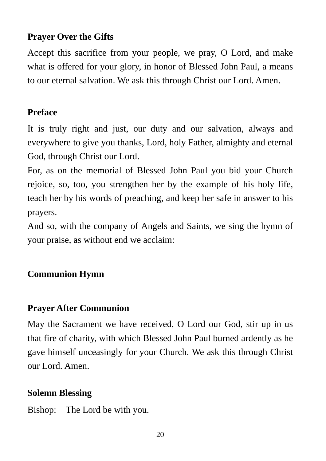# **Prayer Over the Gifts**

Accept this sacrifice from your people, we pray, O Lord, and make what is offered for your glory, in honor of Blessed John Paul, a means to our eternal salvation. We ask this through Christ our Lord. Amen.

# **Preface**

It is truly right and just, our duty and our salvation, always and everywhere to give you thanks, Lord, holy Father, almighty and eternal God, through Christ our Lord.

For, as on the memorial of Blessed John Paul you bid your Church rejoice, so, too, you strengthen her by the example of his holy life, teach her by his words of preaching, and keep her safe in answer to his prayers.

And so, with the company of Angels and Saints, we sing the hymn of your praise, as without end we acclaim:

# **Communion Hymn**

# **Prayer After Communion**

May the Sacrament we have received, O Lord our God, stir up in us that fire of charity, with which Blessed John Paul burned ardently as he gave himself unceasingly for your Church. We ask this through Christ our Lord. Amen.

# **Solemn Blessing**

Bishop: The Lord be with you.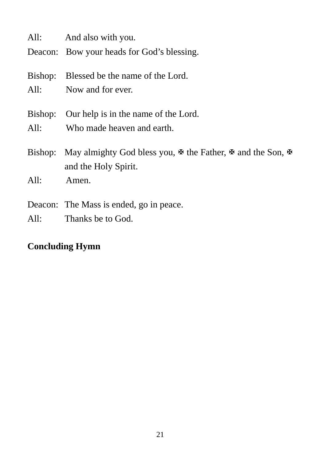|      | All: And also with you.                                                                                                  |
|------|--------------------------------------------------------------------------------------------------------------------------|
|      | Deacon: Bow your heads for God's blessing.                                                                               |
|      | Bishop: Blessed be the name of the Lord.                                                                                 |
|      | All: Now and for ever.                                                                                                   |
|      | Bishop: Our help is in the name of the Lord.                                                                             |
|      | All: Who made heaven and earth.                                                                                          |
|      | Bishop: May almighty God bless you, $\mathbb F$ the Father, $\mathbb F$ and the Son, $\mathbb F$<br>and the Holy Spirit. |
| All: | Amen.                                                                                                                    |
|      | Deacon: The Mass is ended, go in peace.                                                                                  |
| All: | Thanks be to God.                                                                                                        |

# **Concluding Hymn**